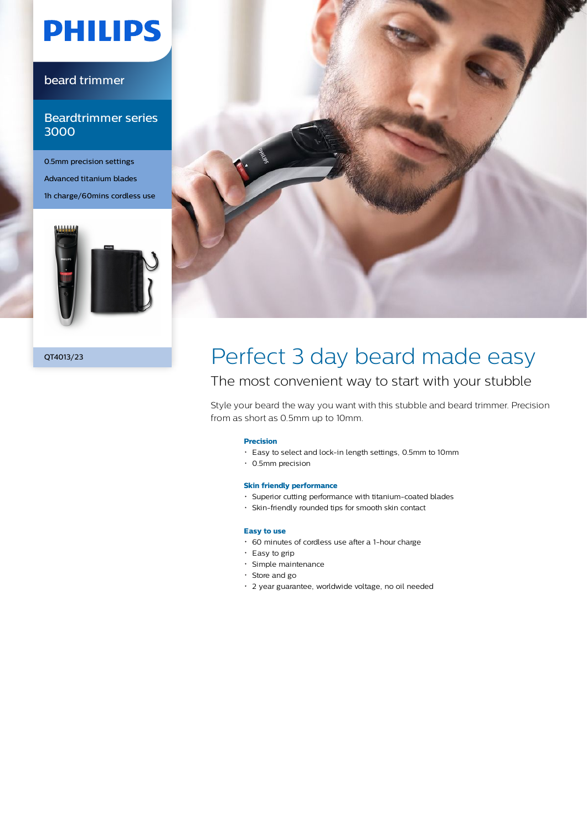# **PHILIPS**

### beard trimmer

### Beardtrimmer series 3000

0.5mm precision settings Advanced titanium blades 1h charge/60mins cordless use





# QT4013/23 Perfect 3 day beard made easy

## The most convenient way to start with your stubble

Style your beard the way you want with this stubble and beard trimmer. Precision from as short as 0.5mm up to 10mm.

#### **Precision**

- Easy to select and lock-in length settings, 0.5mm to 10mm
- 0.5mm precision

#### **Skin friendly performance**

- Superior cutting performance with titanium-coated blades
- Skin-friendly rounded tips for smooth skin contact

#### **Easy to use**

- 60 minutes of cordless use after a 1-hour charge
- $\cdot$  Easy to grip
- Simple maintenance
- Store and go
- 2 year guarantee, worldwide voltage, no oil needed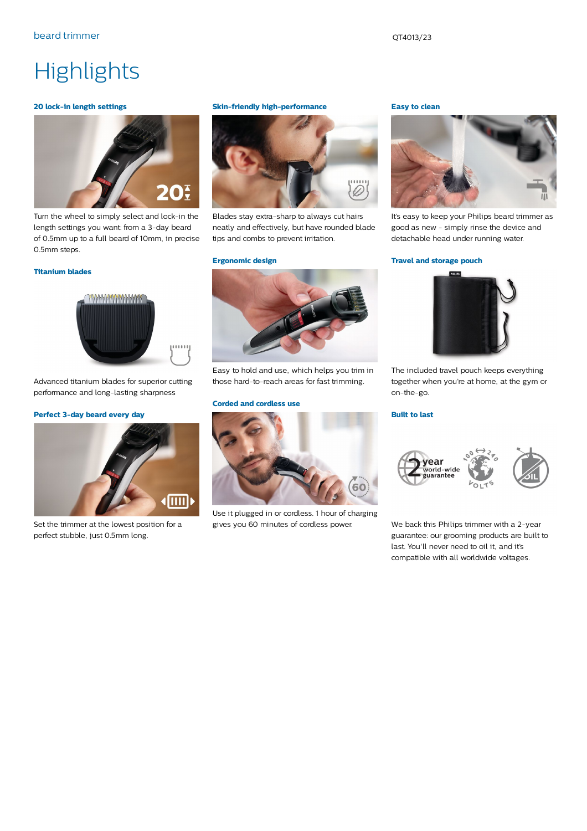# **Highlights**

#### **20 lock-in length settings**



Turn the wheel to simply select and lock-in the length settings you want: from a 3-day beard of 0.5mm up to a full beard of 10mm, in precise 0.5mm steps.

#### **Titanium blades**



Advanced titanium blades for superior cutting performance and long-lasting sharpness

#### **Perfect 3-day beard every day**



Set the trimmer at the lowest position for a perfect stubble, just 0.5mm long.

#### **Skin-friendly high-performance**



Blades stay extra-sharp to always cut hairs neatly and effectively, but have rounded blade tips and combs to prevent irritation.

#### **Ergonomic design**



Easy to hold and use, which helps you trim in those hard-to-reach areas for fast trimming.

#### **Corded and cordless use**



Use it plugged in or cordless. 1 hour of charging gives you 60 minutes of cordless power.

#### **Easy to clean**



It's easy to keep your Philips beard trimmer as good as new - simply rinse the device and detachable head under running water.

#### **Travel and storage pouch**



The included travel pouch keeps everything together when you're at home, at the gym or on-the-go.

#### **Built to last**



We back this Philips trimmer with a 2-year guarantee: our grooming products are built to last. You'll never need to oil it, and it's compatible with all worldwide voltages.